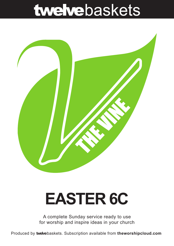# twelvebaskets



## **EASTER 6C**

A complete Sunday service ready to use for worship and inspire ideas in your church

Produced by **twelve**baskets. Subscription available from **theworshipcloud.com**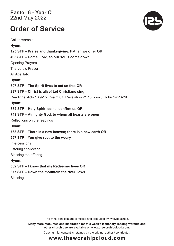**Easter 6 - Year C**  22nd May 2022

### **Order of Service**

Call to worship **Hymn: 125 STF – Praise and thanksgiving, Father, we offer OR 493 STF – Come, Lord, to our souls come down** Opening Prayers The Lord's Prayer All Age Talk **Hymn: 397 STF – The Spirit lives to set us free OR 297 STF – Christ is alive! Let Christians sing** Readings: Acts 16:9-15; Psalm 67; Revelation 21:10, 22-25; John 14:23-29 **Hymn: 382 STF – Holy Spirit, come, confirm us OR 749 STF – Almighty God, to whom all hearts are open** Reflections on the readings **Hymn: 738 STF – There is a new heaven; there is a new earth OR 657 STF – You give rest to the weary Intercessions** Offering / collection Blessing the offering **Hymn: 502 STF – I know that my Redeemer lives OR 377 STF – Down the mountain the river lows Blessing** 

The Vine Services are compiled and produced by twelvebaskets.

**Many more resources and inspiration for this week's lectionary, leading worship and other church use are available on www.theworshipcloud.com.**

Copyright for content is retained by the original author / contributor.



### **www.theworshipcloud.com**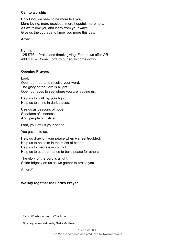#### **Call to worship**

Holy God, we seek to be more like you, More loving, more gracious, more hopeful, more holy. As we follow you and learn from your ways, Give us the courage to know you more this day.

<span id="page-2-2"></span>Amen.[1](#page-2-0)

#### **Hymn:**

125 STF – Praise and thanksgiving, Father, we offer OR 493 STF – Come, Lord, to our souls come down

#### **Opening Prayers**

Lord, Open our hearts to receive your word. The glory of the Lord is a light. Open our eyes to see where you are leading us.

Help us to walk by your light. Help us to shine in dark places.

Use us as beacons of hope, Speakers of kindness, And, people of justice.

Lord, you left us your peace.

You gave it to us.

Help us draw on your peace when we feel troubled. Help us to be calm in the midst of chaos. Help us to mediate in conflict. Help us to use our hands to build peace for others.

The glory of the Lord is a light. Shine brightly on us as we gather to praise you.

<span id="page-2-3"></span>Amen.*[2](#page-2-1)*

#### **We say together the Lord's Prayer**

<span id="page-2-0"></span> $1$  Call to Worship written by Tim Baker

<span id="page-2-1"></span>Opening prayers written by Sheila Matthews *[2](#page-2-3)*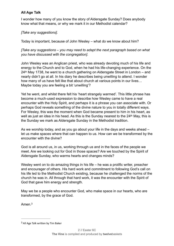#### **All Age Talk**

I wonder how many of you know the story of Aldersgate Sunday? Does anybody know what that means, or why we mark it in our Methodist calendar?

*[Take any suggestions]*.

Today is important, because of John Wesley – what do we know about him?

*[Take any suggestions – you may need to adapt the next paragraph based on what you have discussed with the congregation]*.

John Wesley was an Anglican priest, who was already devoting much of his life and energy to the Church and to God, when he had his life-changing experience. On the 24th May 1738, he went to a church gathering on Aldersgate Street in London – and nearly didn't go at all. In his diary he describes being unwilling to attend. I wonder how many of us have felt like that about church at various points in our lives… Maybe today you are feeling a bit 'unwilling'?

Yet he went, and whilst there felt his 'heart strangely warmed'. This little phrase has become a much-used expression to describe how Wesley came to have a real encounter with the Holy Spirit, and perhaps it is a phrase you can associate with. Or perhaps God reveals something of the divine nature to you in totally different ways. For Wesley, this was the moment when God became present to him in his heart, as well as just an idea in his head. As this is the Sunday nearest to the 24<sup>th</sup> May, this is the Sunday we mark as Aldersgate Sunday in the Methodist tradition.

As we worship today, and as you go about your life in the days and weeks ahead – let us make spaces where that can happen to us. How can we be transformed by the encounter with the divine?

God is all around us, in us, working through us and in the faces of the people we meet. Are we looking out for God in those spaces? Are we touched by the Spirit of Aldersgate Sunday, who warms hearts and changes minds?

Wesley went on to do amazing things in his life – he was a prolific writer, preacher and encourager of others. His hard work and commitment to following God's call on his life led to the Methodist Church existing, because he challenged the norms of the church he was in. All through that hard work, it was the encounter with the Spirit of God that gave him energy and strength.

May we be a people who encounter God, who make space in our hearts, who are transformed, by the grace of God.

<span id="page-3-1"></span>Amen.[3](#page-3-0)

<span id="page-3-0"></span> $3$  All Age Talk written by Tim Baker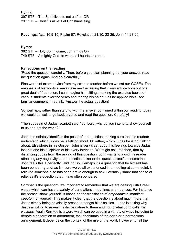**Hymn:** 397 STF – The Spirit lives to set us free OR 297 STF – Christ is alive! Let Christians sing

**Readings**: Acts 16:9-15; Psalm 67; Revelation 21:10, 22-25; John 14:23-29

#### **Hymn:**

382 STF – Holy Spirit, come, confirm us OR 749 STF – Almighty God, to whom all hearts are open

#### **Reflections on the reading**

'Read the question carefully. Then, before you start planning out your answer, read the question again. And do it carefully!'

Fine words of exam advice from my science teacher before we sat our GCSEs. The emphasis of his words always gave me the feeling that it was advice born out of a great deal of frustration. I can imagine him sitting, marking the exercise books of various students over the years and tearing his hair out as he applied his all too familiar comment in red ink, 'Answer the actual question!'

So, perhaps, rather than starting with the answer contained within our reading today we would do well to go back a verse and read the question. Carefully!

'Then Judas (not Judas Iscariot) said, "but Lord, why do you intend to show yourself to us and not the world?"

John immediately identifies the poser of the question, making sure that his readers understand which Judas he is talking about. Or rather, which Judas he is not talking about. Elsewhere in his Gospel, John is very clear about his feelings towards Judas Iscariot and his suspicion of his every intention. We might assume then, that by distancing Judas from the asking of this question, John wants to avoid his reader attaching any negativity to the question asker or the question itself. It seems that John feels this a perfectly valid inquiry. Perhaps it's a question that he himself has been pondering and, as I'm sure we've all experienced in a meeting at some point, is relieved someone else has been brave enough to ask. I certainly share that sense of relief as it's a question that I have often pondered.

So what is the question? It's important to remember that we are dealing with Greek words which can have a variety of translations, meanings and nuances. For instance the phrase 'show yourself' is based on the translation of *emphanizein:* manifest *seauton:* of yourself. This makes it clear that the question is about much more than Jesus simply being physically present amongst his disciples. Judas is asking why Jesus is willing to reveal his divine nature to them and not to what John calls the *Kosmos.* Again *Kosmos* is a word which can be used in a variety of ways including to denote a decoration or adornment, the inhabitants of the earth or a harmonious arrangement. It depends on the context of the use of the word. However, of all the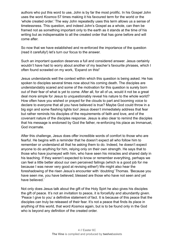authors who put this word to use, John is by far the most prolific. In his Gospel John uses the word *Kosmos* 57 times making it his favoured term for the world or the 'whole created order.' The way John repeatedly uses this term allows us a sense of timelessness. This question, and indeed John's Gospel as a whole, can then be framed not as something important only to the earth as it stands at the time of his writing but as indispensable to all the created order that has gone before and will come after.

So now that we have established and re-enforced the importance of the question (read it carefully!) let's turn our focus to the answer.

Such an important question deserves a full and considered answer. Jesus certainly wouldn't have had to worry about another of my teacher's favourite phrases, which I often found scrawled on my work, 'Expand on this!'

Jesus understands well the context within which this question is being asked. He has spoken to disciples several times now about his coming death. The disciples are understandably scared and some of the motivation for this question is surely born out of their fear of what is yet to come. After all, for all of us, would it not be a great deal more simple for Jesus to unquestionably reveal his nature to the whole world? How often have you wished or prayed for the clouds to part and booming voice to declare to everyone that all you have believed is true? Maybe God could throw in a big sign and some flashing lights too! Jesus doesn't immediately address that fear but rather reminds his disciples of the requirements of faith and love, and of the covenant nature of the disciples response. Jesus is also clear to remind the disciples that his message is endorsed by God the father, re-enforcing his place as Immanuel, God incarnate.

After this challenge, Jesus does offer incredible words of comfort to those who are fearful. He begins with a reminder that he doesn't expect all who follow him to remember or understand all that he asking them to do. Indeed, he doesn't expect anyone to do anything for him, relying only on their own strength. He says that to those who have journeyed with him, who have seen his miracles and shared daily in his teaching. If they weren't expected to know or remember everything, perhaps we can feel a little better about our own perceived failings (which is a good job for me because I was never very good at revising either!) We might also hear the foreshadowing of the risen Jesus's encounter with 'doubting' Thomas. 'Because you have seen me, you have believed; blessed are those who have not seen and yet have believed.'

Not only does Jesus talk about the gift of the Holy Spirt he also gives his disciples the gift of peace. It's not an invitation to peace, it is forcefully and abundantly given. 'Peace I give to you' a definitive statement of fact. It is because of this peace that the disciples can truly be released of their fear. It's not a peace that finds its place in anything of this world, that word *Kosmos* again, but is to be found only in the God who is beyond any definition of the created order.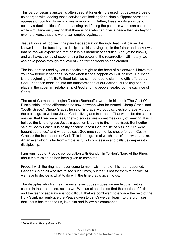This part of Jesus's answer is often used at funerals. It is used not because those of us charged with leading those services are looking for a simple, flippant phrase to appease or comfort those who are in mourning. Rather, these words allow us to occupy a duel position of understanding and facing the pain this world can cause, while simultaneously saying that there is one who can offer a peace that lies beyond even the worst that this world can employ against us.

Jesus knows, all too well, the pain that separation through death will cause. He knows it must be faced by his disciples at his leaving to join the father and he knows that he too will experience that pain in his moment of sacrifice. And yet he knows, and we have, the joy of experiencing the power of the resurrection. Ultimately, we can have peace through the love of God for the world he has created.

The last phrase used by Jesus speaks straight to the heart of his answer. 'I have told you now before it happens, so that when it does happen you will believe.' Believing is the beginning of faith. Without faith we cannot hope to claim the gifts offered by God. Faith then leads on into the transformation of our actions, our taking of our place in the covenant relationship of God and his people, sealed by the sacrifice of Christ.

The great German theologian Dietrich Bonhoeffer wrote, in his book 'The Cost Of Discipleship', of the differences he saw between what he termed 'Cheap Grace' and 'Costly Grace.' 'Cheap Grace', he said, 'is grace without discipleship, grace without the cross, grace without Jesus Christ, living and incarnate.' That would be the simple answer, that I feel we all as Christ's disciples, are sometimes guilty of seeking. It is, I believe the kind of grace Judas's question is trying to find. In contrast, Bonhoeffer said of Costly Grace 'it is costly because it cost God the life of his Son: "Ye were bought at a price," and what has cost God much cannot be cheap for us... Costly Grace is the Incarnation of God.' This is the grace of which Jesus's answer speaks. An answer which is far from simple, is full of compassion and calls us deeper into discipleship.

I am reminded of Frodo's conversation with Gandalf in Tolkien's 'Lord of the Rings', about the mission he has been given to complete.

Frodo: I wish the ring had never come to me. I wish none of this had happened. Gandalf: So do all who live to see such times, but that is not for them to decide. All we have to decide is what to do with the time that is given to us.

<span id="page-6-1"></span>The disciples who first hear Jesus answer Judas's question are left then with a choice in their response, as are we. We can either decide that the burden of faith and the fear of separation is too difficult, that we don't want to engage the help of the Holy Spirit, nor embrace the Peace given to us. Or we can lean into the promises that Jesus has made to us, love him and follow his commands.[4](#page-6-0)

<span id="page-6-0"></span>[<sup>4</sup>](#page-6-1) Reflection written by Graeme Dutton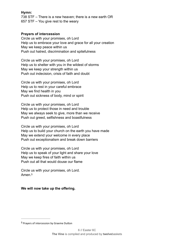#### **Hymn:**

738 STF – There is a new heaven; there is a new earth OR 657 STF – You give rest to the weary

#### **Prayers of intercession**

Circle us with your promises, oh Lord Help us to embrace your love and grace for all your creation May we keep peace within us Push out hatred, discrimination and spitefulness

Circle us with your promises, oh Lord Help us to shelter with you in the wildest of storms May we keep your strength within us Push out indecision, crisis of faith and doubt

Circle us with your promises, oh Lord Help us to rest in your careful embrace May we find health in you Push out sickness of body, mind or spirit

Circle us with your promises, oh Lord Help us to protect those in need and trouble May we always seek to give, more than we receive Push out greed, selfishness and boastfulness

Circle us with your promises, oh Lord Help us to build your church on the earth you have made May we extend your welcome in every place Push out exceptionalism and break down barriers

Circle us with your promises, oh Lord Help us to speak of your light and share your love May we keep fires of faith within us Push out all that would douse our flame

<span id="page-7-1"></span>Circle us with your promises, oh Lord. Amen<sup>[5](#page-7-0)</sup>

#### **We will now take up the offering.**

<span id="page-7-0"></span><sup>&</sup>lt;sup>[5](#page-7-1)</sup> Prayers of intercession by Graeme Dutton